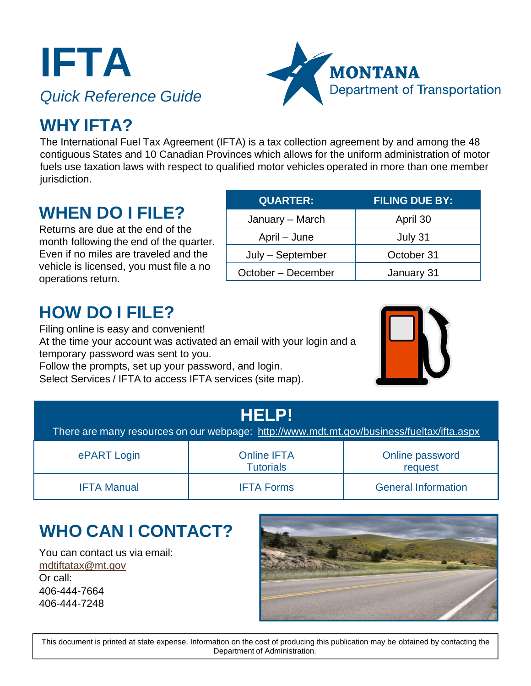**IFTA** *Quick Reference Guide*



### **WHY IFTA?**

The International Fuel Tax Agreement (IFTA) is a tax collection agreement by and among the 48 contiguous States and 10 Canadian Provinces which allows for the uniform administration of motor fuels use taxation laws with respect to qualified motor vehicles operated in more than one member jurisdiction.

#### **WHEN DO I FILE?**

Returns are due at the end of the month following the end of the quarter. Even if no miles are traveled and the vehicle is licensed, you must file a no operations return.

| <b>QUARTER:</b>    | <b>FILING DUE BY:</b> |
|--------------------|-----------------------|
| January - March    | April 30              |
| April – June       | July 31               |
| July - September   | October 31            |
| October - December | January 31            |

### **HOW DO I FILE?**

Filing online is easy and convenient! At the time your account was activated an email with your login and a temporary password was sent to you.

Follow the prompts, set up your password, and login. Select Services / IFTA to access IFTA services (site map).



| <b>HELP!</b><br>There are many resources on our webpage: http://www.mdt.mt.gov/business/fueltax/ifta.aspx |                                        |                            |
|-----------------------------------------------------------------------------------------------------------|----------------------------------------|----------------------------|
| ePART Login                                                                                               | <b>Online IFTA</b><br><b>Tutorials</b> | Online password<br>request |
| <b>IFTA Manual</b>                                                                                        | <b>IFTA Forms</b>                      | <b>General Information</b> |

## **WHO CAN I CONTACT?**

You can contact us via email: [mdtiftatax@mt.gov](mailto:mdtiftatax@mt.gov) Or call: 406-444-7664 406-444-7248



This document is printed at state expense. Information on the cost of producing this publication may be obtained by contacting the Department of Administration.